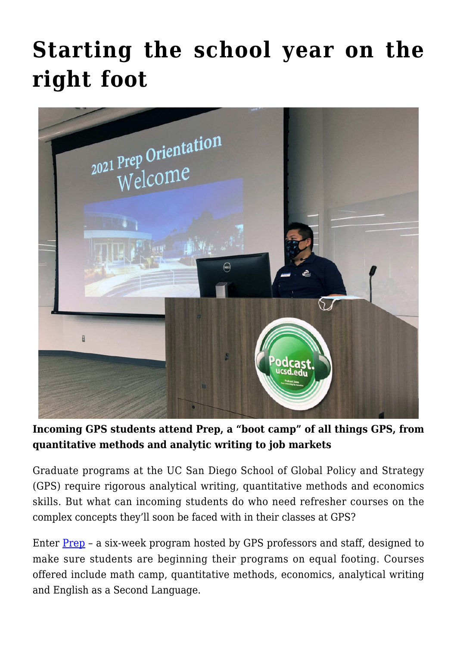# **[Starting the school year on the](https://gpsnews.ucsd.edu/starting-the-school-year-on-the-right-foot/) [right foot](https://gpsnews.ucsd.edu/starting-the-school-year-on-the-right-foot/)**



**Incoming GPS students attend Prep, a "boot camp" of all things GPS, from quantitative methods and analytic writing to job markets**

Graduate programs at the UC San Diego School of Global Policy and Strategy (GPS) require rigorous analytical writing, quantitative methods and economics skills. But what can incoming students do who need refresher courses on the complex concepts they'll soon be faced with in their classes at GPS?

Enter [Prep](https://gps.ucsd.edu/students/admitted-students/prep-program.html) – a six-week program hosted by GPS professors and staff, designed to make sure students are beginning their programs on equal footing. Courses offered include math camp, quantitative methods, economics, analytical writing and English as a Second Language.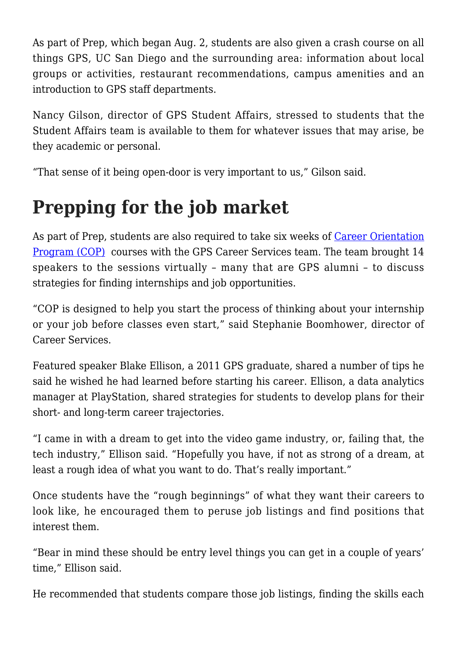As part of Prep, which began Aug. 2, students are also given a crash course on all things GPS, UC San Diego and the surrounding area: information about local groups or activities, restaurant recommendations, campus amenities and an introduction to GPS staff departments.

Nancy Gilson, director of GPS Student Affairs, stressed to students that the Student Affairs team is available to them for whatever issues that may arise, be they academic or personal.

"That sense of it being open-door is very important to us," Gilson said.

## **Prepping for the job market**

As part of Prep, students are also required to take six weeks of [Career Orientation](https://gps.ucsd.edu/students/admitted-students/prep-program.html#Career-Services-Orientation-Pro) [Program \(COP\)](https://gps.ucsd.edu/students/admitted-students/prep-program.html#Career-Services-Orientation-Pro) courses with the GPS Career Services team. The team brought 14 speakers to the sessions virtually – many that are GPS alumni – to discuss strategies for finding internships and job opportunities.

"COP is designed to help you start the process of thinking about your internship or your job before classes even start," said Stephanie Boomhower, director of Career Services.

Featured speaker Blake Ellison, a 2011 GPS graduate, shared a number of tips he said he wished he had learned before starting his career. Ellison, a data analytics manager at PlayStation, shared strategies for students to develop plans for their short- and long-term career trajectories.

"I came in with a dream to get into the video game industry, or, failing that, the tech industry," Ellison said. "Hopefully you have, if not as strong of a dream, at least a rough idea of what you want to do. That's really important."

Once students have the "rough beginnings" of what they want their careers to look like, he encouraged them to peruse job listings and find positions that interest them.

"Bear in mind these should be entry level things you can get in a couple of years' time," Ellison said.

He recommended that students compare those job listings, finding the skills each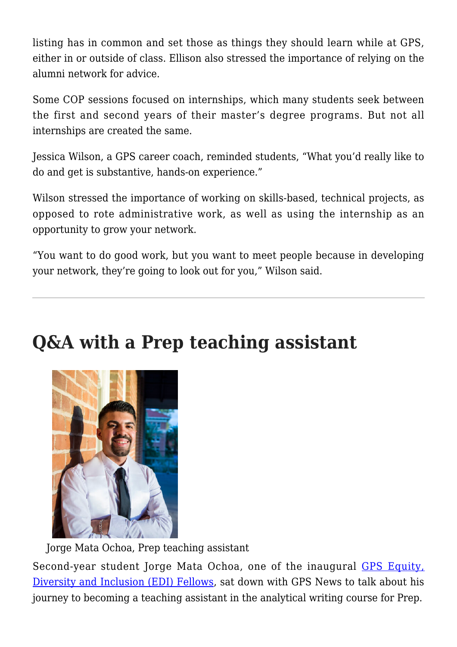listing has in common and set those as things they should learn while at GPS, either in or outside of class. Ellison also stressed the importance of relying on the alumni network for advice.

Some COP sessions focused on internships, which many students seek between the first and second years of their master's degree programs. But not all internships are created the same.

Jessica Wilson, a GPS career coach, reminded students, "What you'd really like to do and get is substantive, hands-on experience."

Wilson stressed the importance of working on skills-based, technical projects, as opposed to rote administrative work, as well as using the internship as an opportunity to grow your network.

"You want to do good work, but you want to meet people because in developing your network, they're going to look out for you," Wilson said.

### **Q&A with a Prep teaching assistant**



Jorge Mata Ochoa, Prep teaching assistant

Second-year student Jorge Mata Ochoa, one of the inaugural [GPS Equity,](https://gpsnews.ucsd.edu/building-a-more-inclusive-space/) [Diversity and Inclusion \(EDI\) Fellows,](https://gpsnews.ucsd.edu/building-a-more-inclusive-space/) sat down with GPS News to talk about his journey to becoming a teaching assistant in the analytical writing course for Prep.